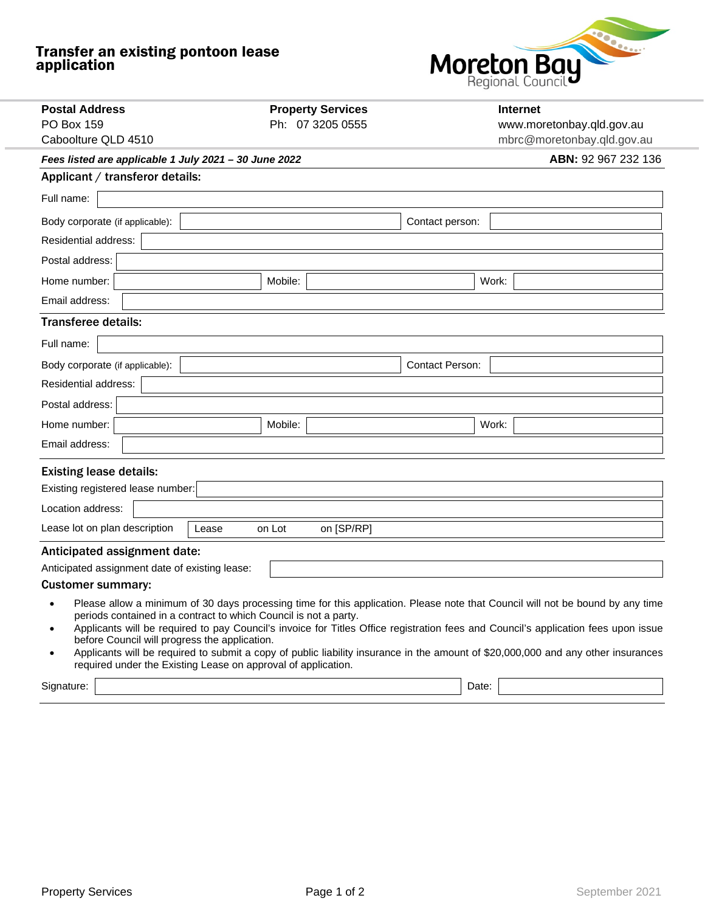## Transfer an existing pontoon lease application



| <b>Postal Address</b>                                                                                             | <b>Property Services</b> | Internet                                                                                                                                                                                                                                                                                                                                                                                                  |
|-------------------------------------------------------------------------------------------------------------------|--------------------------|-----------------------------------------------------------------------------------------------------------------------------------------------------------------------------------------------------------------------------------------------------------------------------------------------------------------------------------------------------------------------------------------------------------|
| <b>PO Box 159</b>                                                                                                 | Ph: 07 3205 0555         | www.moretonbay.qld.gov.au                                                                                                                                                                                                                                                                                                                                                                                 |
| Caboolture QLD 4510                                                                                               |                          | mbrc@moretonbay.qld.gov.au                                                                                                                                                                                                                                                                                                                                                                                |
| Fees listed are applicable 1 July 2021 - 30 June 2022                                                             | ABN: 92 967 232 136      |                                                                                                                                                                                                                                                                                                                                                                                                           |
| Applicant / transferor details:                                                                                   |                          |                                                                                                                                                                                                                                                                                                                                                                                                           |
| Full name:                                                                                                        |                          |                                                                                                                                                                                                                                                                                                                                                                                                           |
| Body corporate (if applicable):                                                                                   |                          | Contact person:                                                                                                                                                                                                                                                                                                                                                                                           |
| Residential address:                                                                                              |                          |                                                                                                                                                                                                                                                                                                                                                                                                           |
| Postal address:                                                                                                   |                          |                                                                                                                                                                                                                                                                                                                                                                                                           |
| Home number:                                                                                                      | Mobile:                  | Work:                                                                                                                                                                                                                                                                                                                                                                                                     |
| Email address:                                                                                                    |                          |                                                                                                                                                                                                                                                                                                                                                                                                           |
| <b>Transferee details:</b>                                                                                        |                          |                                                                                                                                                                                                                                                                                                                                                                                                           |
| Full name:                                                                                                        |                          |                                                                                                                                                                                                                                                                                                                                                                                                           |
| Body corporate (if applicable):                                                                                   |                          | <b>Contact Person:</b>                                                                                                                                                                                                                                                                                                                                                                                    |
| <b>Residential address:</b>                                                                                       |                          |                                                                                                                                                                                                                                                                                                                                                                                                           |
| Postal address:                                                                                                   |                          |                                                                                                                                                                                                                                                                                                                                                                                                           |
| Home number:                                                                                                      | Mobile:                  | Work:                                                                                                                                                                                                                                                                                                                                                                                                     |
| Email address:                                                                                                    |                          |                                                                                                                                                                                                                                                                                                                                                                                                           |
| <b>Existing lease details:</b>                                                                                    |                          |                                                                                                                                                                                                                                                                                                                                                                                                           |
| Existing registered lease number:                                                                                 |                          |                                                                                                                                                                                                                                                                                                                                                                                                           |
| Location address:                                                                                                 |                          |                                                                                                                                                                                                                                                                                                                                                                                                           |
| Lease lot on plan description<br>Lease                                                                            | on [SP/RP]<br>on Lot     |                                                                                                                                                                                                                                                                                                                                                                                                           |
| Anticipated assignment date:                                                                                      |                          |                                                                                                                                                                                                                                                                                                                                                                                                           |
| Anticipated assignment date of existing lease:                                                                    |                          |                                                                                                                                                                                                                                                                                                                                                                                                           |
| <b>Customer summary:</b>                                                                                          |                          |                                                                                                                                                                                                                                                                                                                                                                                                           |
| periods contained in a contract to which Council is not a party.<br>before Council will progress the application. |                          | Please allow a minimum of 30 days processing time for this application. Please note that Council will not be bound by any time<br>Applicants will be required to pay Council's invoice for Titles Office registration fees and Council's application fees upon issue<br>Applicants will be required to submit a copy of public liability insurance in the amount of \$20,000,000 and any other insurances |

required under the Existing Lease on approval of application.

Signature: Date: